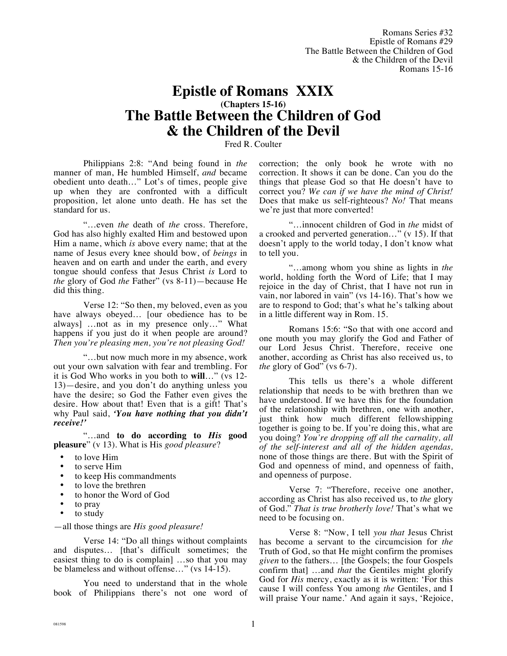Romans Series #32 Epistle of Romans #29 The Battle Between the Children of God & the Children of the Devil Romans 15-16

# **Epistle of Romans XXIX (Chapters 15-16) The Battle Between the Children of God & the Children of the Devil**

Fred R. Coulter

Philippians 2:8: "And being found in *the* manner of man, He humbled Himself, *and* became obedient unto death…" Lot's of times, people give up when they are confronted with a difficult proposition, let alone unto death. He has set the standard for us.

"…even *the* death of *the* cross. Therefore, God has also highly exalted Him and bestowed upon Him a name, which *is* above every name; that at the name of Jesus every knee should bow, of *beings* in heaven and on earth and under the earth, and every tongue should confess that Jesus Christ *is* Lord to *the* glory of God *the* Father" (vs 8-11)—because He did this thing.

Verse 12: "So then, my beloved, even as you have always obeyed… [our obedience has to be always] …not as in my presence only…" What happens if you just do it when people are around? *Then you're pleasing men, you're not pleasing God!*

"…but now much more in my absence, work out your own salvation with fear and trembling. For it is God Who works in you both to **will**…" (vs 12- 13)—desire, and you don't do anything unless you have the desire; so God the Father even gives the desire. How about that! Even that is a gift! That's why Paul said, *'You have nothing that you didn't receive!'*

"…and **to do according to** *His* **good pleasure**" (v 13). What is His *good pleasure*?

- to love Him
- to serve Him
- to keep His commandments
- to love the brethren
- to honor the Word of God
- to pray
- to study

#### —all those things are *His good pleasure!*

Verse 14: "Do all things without complaints and disputes… [that's difficult sometimes; the easiest thing to do is complain] …so that you may be blameless and without offense…" (vs 14-15).

You need to understand that in the whole book of Philippians there's not one word of correction; the only book he wrote with no correction. It shows it can be done. Can you do the things that please God so that He doesn't have to correct you? *We can if we have the mind of Christ!* Does that make us self-righteous? *No!* That means we're just that more converted!

"…innocent children of God in *the* midst of a crooked and perverted generation…" (v 15). If that doesn't apply to the world today, I don't know what to tell you.

"…among whom you shine as lights in *the* world, holding forth the Word of Life; that I may rejoice in the day of Christ, that I have not run in vain, nor labored in vain" (vs 14-16). That's how we are to respond to God; that's what he's talking about in a little different way in Rom. 15.

Romans 15:6: "So that with one accord and one mouth you may glorify the God and Father of our Lord Jesus Christ. Therefore, receive one another, according as Christ has also received us, to *the* glory of God" (vs 6-7).

This tells us there's a whole different relationship that needs to be with brethren than we have understood. If we have this for the foundation of the relationship with brethren, one with another, just think how much different fellowshipping together is going to be. If you're doing this, what are you doing? *You're dropping off all the carnality, all of the self-interest and all of the hidden agendas,*  none of those things are there. But with the Spirit of God and openness of mind, and openness of faith, and openness of purpose.

Verse 7: "Therefore, receive one another, according as Christ has also received us, to *the* glory of God." *That is true brotherly love!* That's what we need to be focusing on.

Verse 8: "Now, I tell *you that* Jesus Christ has become a servant to the circumcision for *the* Truth of God, so that He might confirm the promises *given* to the fathers… [the Gospels; the four Gospels confirm that] …and *that* the Gentiles might glorify God for *His* mercy, exactly as it is written: 'For this cause I will confess You among *the* Gentiles, and I will praise Your name.' And again it says, 'Rejoice,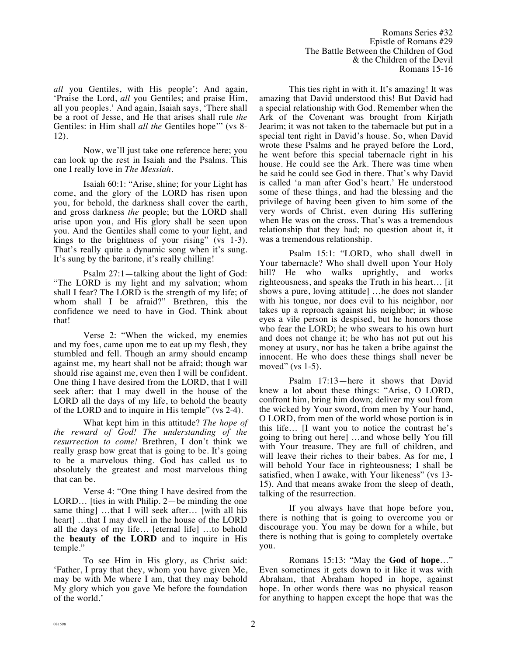Romans Series #32 Epistle of Romans #29 The Battle Between the Children of God & the Children of the Devil Romans 15-16

*all* you Gentiles, with His people'; And again, 'Praise the Lord, *all* you Gentiles; and praise Him, all you peoples.' And again, Isaiah says, 'There shall be a root of Jesse, and He that arises shall rule *the* Gentiles: in Him shall *all the* Gentiles hope'" (vs 8- 12).

Now, we'll just take one reference here; you can look up the rest in Isaiah and the Psalms. This one I really love in *The Messiah.* 

Isaiah 60:1: "Arise, shine; for your Light has come, and the glory of the LORD has risen upon you, for behold, the darkness shall cover the earth, and gross darkness *the* people; but the LORD shall arise upon you, and His glory shall be seen upon you. And the Gentiles shall come to your light, and kings to the brightness of your rising" (vs 1-3). That's really quite a dynamic song when it's sung. It's sung by the baritone, it's really chilling!

Psalm 27:1—talking about the light of God: "The LORD is my light and my salvation; whom shall I fear? The LORD is the strength of my life; of whom shall I be afraid?" Brethren, this the confidence we need to have in God. Think about that!

Verse 2: "When the wicked, my enemies and my foes, came upon me to eat up my flesh, they stumbled and fell. Though an army should encamp against me, my heart shall not be afraid; though war should rise against me, even then I will be confident. One thing I have desired from the LORD, that I will seek after: that I may dwell in the house of the LORD all the days of my life, to behold the beauty of the LORD and to inquire in His temple" (vs 2-4).

What kept him in this attitude? *The hope of the reward of God! The understanding of the resurrection to come!* Brethren, I don't think we really grasp how great that is going to be. It's going to be a marvelous thing. God has called us to absolutely the greatest and most marvelous thing that can be.

Verse 4: "One thing I have desired from the LORD… [ties in with Philip. 2—be minding the one same thing] ...that I will seek after... [with all his heart] …that I may dwell in the house of the LORD all the days of my life… [eternal life] …to behold the **beauty of the LORD** and to inquire in His temple."

To see Him in His glory, as Christ said: 'Father, I pray that they, whom you have given Me, may be with Me where I am, that they may behold My glory which you gave Me before the foundation of the world.'

This ties right in with it. It's amazing! It was amazing that David understood this! But David had a special relationship with God. Remember when the Ark of the Covenant was brought from Kirjath Jearim; it was not taken to the tabernacle but put in a special tent right in David's house. So, when David wrote these Psalms and he prayed before the Lord, he went before this special tabernacle right in his house. He could see the Ark. There was time when he said he could see God in there. That's why David is called 'a man after God's heart.' He understood some of these things, and had the blessing and the privilege of having been given to him some of the very words of Christ, even during His suffering when He was on the cross. That's was a tremendous relationship that they had; no question about it, it was a tremendous relationship.

Psalm 15:1: "LORD, who shall dwell in Your tabernacle? Who shall dwell upon Your Holy hill? He who walks uprightly, and works righteousness, and speaks the Truth in his heart… [it shows a pure, loving attitude] …he does not slander with his tongue, nor does evil to his neighbor, nor takes up a reproach against his neighbor; in whose eyes a vile person is despised, but he honors those who fear the LORD; he who swears to his own hurt and does not change it; he who has not put out his money at usury, nor has he taken a bribe against the innocent. He who does these things shall never be moved" (vs 1-5).

Psalm 17:13—here it shows that David knew a lot about these things: "Arise, O LORD, confront him, bring him down; deliver my soul from the wicked by Your sword, from men by Your hand, O LORD, from men of the world whose portion is in this life… [I want you to notice the contrast he's going to bring out here] …and whose belly You fill with Your treasure. They are full of children, and will leave their riches to their babes. As for me, I will behold Your face in righteousness; I shall be satisfied, when I awake, with Your likeness" (vs 13- 15). And that means awake from the sleep of death, talking of the resurrection.

If you always have that hope before you, there is nothing that is going to overcome you or discourage you. You may be down for a while, but there is nothing that is going to completely overtake you.

Romans 15:13: "May the **God of hope**…" Even sometimes it gets down to it like it was with Abraham, that Abraham hoped in hope, against hope. In other words there was no physical reason for anything to happen except the hope that was the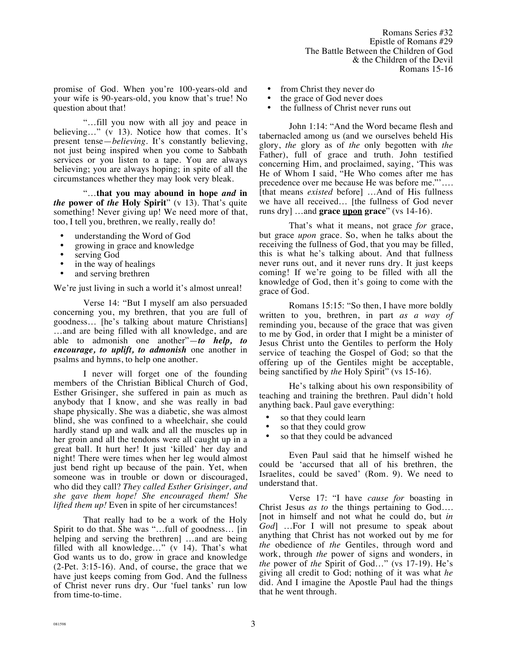promise of God. When you're 100-years-old and your wife is 90-years-old, you know that's true! No question about that!

"…fill you now with all joy and peace in believing…" (v 13). Notice how that comes. It's present tense—*believing.* It's constantly believing, not just being inspired when you come to Sabbath services or you listen to a tape. You are always believing; you are always hoping; in spite of all the circumstances whether they may look very bleak.

"…**that you may abound in hope** *and* **in**  *the* **power of** *the* **Holy Spirit**" (v 13). That's quite something! Never giving up! We need more of that, too, I tell you, brethren, we really, really do!

- understanding the Word of God
- growing in grace and knowledge
- serving God
- in the way of healings
- and serving brethren

We're just living in such a world it's almost unreal!

Verse 14: "But I myself am also persuaded concerning you, my brethren, that you are full of goodness… [he's talking about mature Christians] …and are being filled with all knowledge, and are able to admonish one another"—*to help, to encourage, to uplift, to admonish* one another in psalms and hymns, to help one another.

I never will forget one of the founding members of the Christian Biblical Church of God, Esther Grisinger, she suffered in pain as much as anybody that I know, and she was really in bad shape physically. She was a diabetic, she was almost blind, she was confined to a wheelchair, she could hardly stand up and walk and all the muscles up in her groin and all the tendons were all caught up in a great ball. It hurt her! It just 'killed' her day and night! There were times when her leg would almost just bend right up because of the pain. Yet, when someone was in trouble or down or discouraged, who did they call? *They called Esther Grisinger, and she gave them hope! She encouraged them! She lifted them up!* Even in spite of her circumstances!

That really had to be a work of the Holy Spirit to do that. She was "…full of goodness… [in helping and serving the brethren] …and are being filled with all knowledge…" (v 14). That's what God wants us to do, grow in grace and knowledge (2-Pet. 3:15-16). And, of course, the grace that we have just keeps coming from God. And the fullness of Christ never runs dry. Our 'fuel tanks' run low from time-to-time.

- from Christ they never do
- the grace of God never does
- the fullness of Christ never runs out

John 1:14: "And the Word became flesh and tabernacled among us (and we ourselves beheld His glory, *the* glory as of *the* only begotten with *the* Father), full of grace and truth. John testified concerning Him, and proclaimed, saying, 'This was He of Whom I said, "He Who comes after me has precedence over me because He was before me."'…. [that means *existed* before] …And of His fullness we have all received… [the fullness of God never runs dry] …and **grace upon grace**" (vs 14-16).

That's what it means, not grace *for* grace, but grace *upon* grace. So, when he talks about the receiving the fullness of God, that you may be filled, this is what he's talking about. And that fullness never runs out, and it never runs dry. It just keeps coming! If we're going to be filled with all the knowledge of God, then it's going to come with the grace of God.

Romans 15:15: "So then, I have more boldly written to you, brethren, in part *as a way of*  reminding you, because of the grace that was given to me by God, in order that I might be a minister of Jesus Christ unto the Gentiles to perform the Holy service of teaching the Gospel of God; so that the offering up of the Gentiles might be acceptable, being sanctified by *the* Holy Spirit" (vs 15-16).

He's talking about his own responsibility of teaching and training the brethren. Paul didn't hold anything back. Paul gave everything:

- so that they could learn
- so that they could grow
- so that they could be advanced

Even Paul said that he himself wished he could be 'accursed that all of his brethren, the Israelites, could be saved' (Rom. 9). We need to understand that.

Verse 17: "I have *cause for* boasting in Christ Jesus *as to* the things pertaining to God…. [not in himself and not what he could do, but *in God*] …For I will not presume to speak about anything that Christ has not worked out by me for *the* obedience of *the* Gentiles, through word and work, through *the* power of signs and wonders, in *the* power of *the* Spirit of God…" (vs 17-19). He's giving all credit to God; nothing of it was what *he* did. And I imagine the Apostle Paul had the things that he went through.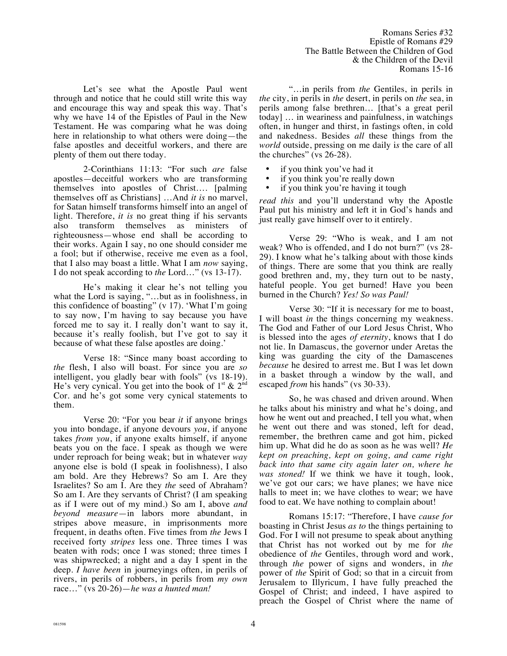Let's see what the Apostle Paul went through and notice that he could still write this way and encourage this way and speak this way. That's why we have 14 of the Epistles of Paul in the New Testament. He was comparing what he was doing here in relationship to what others were doing—the false apostles and deceitful workers, and there are plenty of them out there today.

2-Corinthians 11:13: "For such *are* false apostles—deceitful workers who are transforming themselves into apostles of Christ…. [palming themselves off as Christians] …And *it is* no marvel, for Satan himself transforms himself into an angel of light. Therefore, *it is* no great thing if his servants also transform themselves as ministers of righteousness—whose end shall be according to their works. Again I say, no one should consider me a fool; but if otherwise, receive me even as a fool, that I also may boast a little. What I am *now* saying, I do not speak according to *the* Lord…" (vs 13-17).

He's making it clear he's not telling you what the Lord is saying, "…but as in foolishness, in this confidence of boasting" (v 17). 'What I'm going to say now, I'm having to say because you have forced me to say it. I really don't want to say it, because it's really foolish, but I've got to say it because of what these false apostles are doing.'

Verse 18: "Since many boast according to *the* flesh, I also will boast. For since you are *so* intelligent, you gladly bear with fools" (vs 18-19). He's very cynical. You get into the book of  $1^{st}$  &  $2^{nd}$ Cor. and he's got some very cynical statements to them.

Verse 20: "For you bear *it* if anyone brings you into bondage, if anyone devours *you*, if anyone takes *from you*, if anyone exalts himself, if anyone beats you on the face. I speak as though we were under reproach for being weak; but in whatever *way* anyone else is bold (I speak in foolishness), I also am bold. Are they Hebrews? So am I. Are they Israelites? So am I. Are they *the* seed of Abraham? So am I. Are they servants of Christ? (I am speaking as if I were out of my mind.) So am I, above *and beyond measure*—in labors more abundant, in stripes above measure, in imprisonments more frequent, in deaths often. Five times from *the* Jews I received forty *stripes* less one. Three times I was beaten with rods; once I was stoned; three times I was shipwrecked; a night and a day I spent in the deep. *I have been* in journeyings often, in perils of rivers, in perils of robbers, in perils from *my own* race…" (vs 20-26)—*he was a hunted man!*

"…in perils from *the* Gentiles, in perils in *the* city, in perils in *the* desert, in perils on *the* sea, in perils among false brethren… [that's a great peril today] … in weariness and painfulness, in watchings often, in hunger and thirst, in fastings often, in cold and nakedness. Besides *all* these things from the *world* outside, pressing on me daily i*s* the care of all the churches" (vs 26-28).

- if you think you've had it
- if you think you're really down
- if you think you're having it tough

*read this* and you'll understand why the Apostle Paul put his ministry and left it in God's hands and just really gave himself over to it entirely.

Verse 29: "Who is weak, and I am not weak? Who is offended, and I do not burn?" (vs 28- 29). I know what he's talking about with those kinds of things. There are some that you think are really good brethren and, my, they turn out to be nasty, hateful people. You get burned! Have you been burned in the Church? *Yes! So was Paul!*

Verse 30: "If it is necessary for me to boast, I will boast *in* the things concerning my weakness. The God and Father of our Lord Jesus Christ, Who is blessed into the ages *of eternity*, knows that I do not lie. In Damascus, the governor under Aretas the king was guarding the city of the Damascenes *because* he desired to arrest me. But I was let down in a basket through a window by the wall, and escaped *from* his hands" (vs 30-33).

So, he was chased and driven around. When he talks about his ministry and what he's doing, and how he went out and preached, I tell you what, when he went out there and was stoned, left for dead, remember, the brethren came and got him, picked him up. What did he do as soon as he was well? *He kept on preaching, kept on going, and came right back into that same city again later on, where he was stoned!* If we think we have it tough, look, we've got our cars; we have planes; we have nice halls to meet in; we have clothes to wear; we have food to eat. We have nothing to complain about!

Romans 15:17: "Therefore, I have *cause for*  boasting in Christ Jesus *as to* the things pertaining to God. For I will not presume to speak about anything that Christ has not worked out by me for *the* obedience of *the* Gentiles, through word and work, through *the* power of signs and wonders, in *the* power of *the* Spirit of God; so that in a circuit from Jerusalem to Illyricum, I have fully preached the Gospel of Christ; and indeed, I have aspired to preach the Gospel of Christ where the name of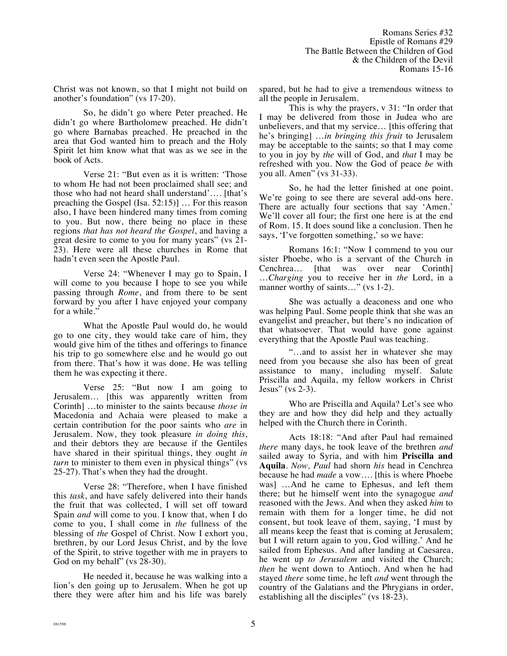Christ was not known, so that I might not build on another's foundation" (vs 17-20).

So, he didn't go where Peter preached. He didn't go where Bartholomew preached. He didn't go where Barnabas preached. He preached in the area that God wanted him to preach and the Holy Spirit let him know what that was as we see in the book of Acts.

Verse 21: "But even as it is written: 'Those to whom He had not been proclaimed shall see; and those who had not heard shall understand'…. [that's preaching the Gospel (Isa. 52:15)] … For this reason also, I have been hindered many times from coming to you. But now, there being no place in these regions *that has not heard the Gospel*, and having a great desire to come to you for many years" (vs 21- 23). Here were all these churches in Rome that hadn't even seen the Apostle Paul.

Verse 24: "Whenever I may go to Spain, I will come to you because I hope to see you while passing through *Rome*, and from there to be sent forward by you after I have enjoyed your company for a while.'

What the Apostle Paul would do, he would go to one city, they would take care of him, they would give him of the tithes and offerings to finance his trip to go somewhere else and he would go out from there. That's how it was done. He was telling them he was expecting it there.

Verse 25: "But now I am going to Jerusalem… [this was apparently written from Corinth] …to minister to the saints because *those in* Macedonia and Achaia were pleased to make a certain contribution for the poor saints who *are* in Jerusalem. Now, they took pleasure *in doing this*, and their debtors they are because if the Gentiles have shared in their spiritual things, they ought *in turn* to minister to them even in physical things" (vs 25-27). That's when they had the drought.

Verse 28: "Therefore, when I have finished this *task*, and have safely delivered into their hands the fruit that was collected, I will set off toward Spain *and* will come to you. I know that, when I do come to you, I shall come in *the* fullness of the blessing of *the* Gospel of Christ. Now I exhort you, brethren, by our Lord Jesus Christ, and by the love of the Spirit, to strive together with me in prayers to God on my behalf" (vs 28-30).

He needed it, because he was walking into a lion's den going up to Jerusalem. When he got up there they were after him and his life was barely spared, but he had to give a tremendous witness to all the people in Jerusalem.

This is why the prayers, v 31: "In order that I may be delivered from those in Judea who are unbelievers, and that my service… [this offering that he's bringing] …*in bringing this fruit* to Jerusalem may be acceptable to the saints; so that I may come to you in joy by *the* will of God, and *that* I may be refreshed with you. Now the God of peace *be* with you all. Amen" (vs 31-33).

So, he had the letter finished at one point. We're going to see there are several add-ons here. There are actually four sections that say 'Amen.' We'll cover all four; the first one here is at the end of Rom. 15. It does sound like a conclusion. Then he says, 'I've forgotten something,' so we have:

Romans 16:1: "Now I commend to you our sister Phoebe, who is a servant of the Church in Cenchrea… [that was over near Corinth] …*Charging* you to receive her in *the* Lord, in a manner worthy of saints..." (vs 1-2).

She was actually a deaconess and one who was helping Paul. Some people think that she was an evangelist and preacher, but there's no indication of that whatsoever. That would have gone against everything that the Apostle Paul was teaching.

"…and to assist her in whatever she may need from you because she also has been of great assistance to many, including myself. Salute Priscilla and Aquila, my fellow workers in Christ Jesus" (vs  $2-3$ ).

Who are Priscilla and Aquila? Let's see who they are and how they did help and they actually helped with the Church there in Corinth.

Acts 18:18: "And after Paul had remained *there* many days, he took leave of the brethren *and* sailed away to Syria, and with him **Priscilla and Aquila**. *Now, Paul* had shorn *his* head in Cenchrea because he had *made* a vow…. [this is where Phoebe was] …And he came to Ephesus, and left them there; but he himself went into the synagogue *and* reasoned with the Jews. And when they asked *him* to remain with them for a longer time, he did not consent, but took leave of them, saying, 'I must by all means keep the feast that is coming at Jerusalem; but I will return again to you, God willing.' And he sailed from Ephesus. And after landing at Caesarea, he went up *to Jerusalem* and visited the Church; *then* he went down to Antioch. And when he had stayed *there* some time, he left *and* went through the country of the Galatians and the Phrygians in order, establishing all the disciples" (vs 18-23).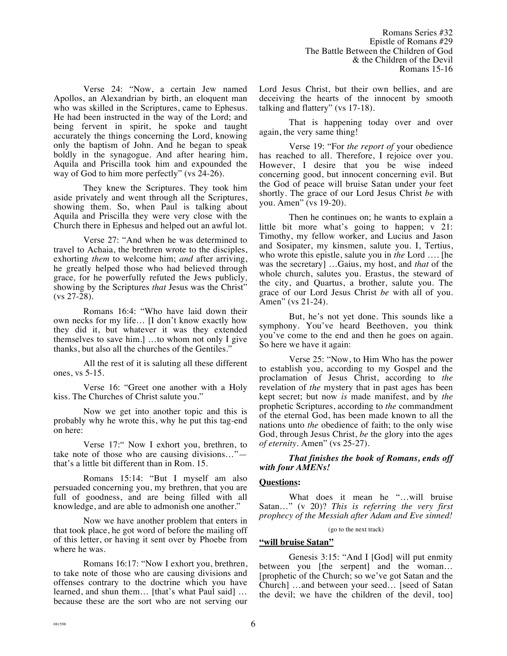Verse 24: "Now, a certain Jew named Apollos, an Alexandrian by birth, an eloquent man who was skilled in the Scriptures, came to Ephesus. He had been instructed in the way of the Lord; and being fervent in spirit, he spoke and taught accurately the things concerning the Lord, knowing only the baptism of John. And he began to speak boldly in the synagogue. And after hearing him, Aquila and Priscilla took him and expounded the way of God to him more perfectly" (vs  $24-26$ ).

They knew the Scriptures. They took him aside privately and went through all the Scriptures, showing them. So, when Paul is talking about Aquila and Priscilla they were very close with the Church there in Ephesus and helped out an awful lot.

Verse 27: "And when he was determined to travel to Achaia, the brethren wrote to the disciples, exhorting *them* to welcome him; *and* after arriving, he greatly helped those who had believed through grace*,* for he powerfully refuted the Jews publicly*,*  showing by the Scriptures *that* Jesus was the Christ" (vs 27-28).

Romans 16:4: "Who have laid down their own necks for my life… [I don't know exactly how they did it, but whatever it was they extended themselves to save him.] …to whom not only I give thanks, but also all the churches of the Gentiles."

All the rest of it is saluting all these different ones, vs 5-15.

Verse 16: "Greet one another with a Holy kiss. The Churches of Christ salute you."

Now we get into another topic and this is probably why he wrote this, why he put this tag-end on here:

Verse 17:" Now I exhort you, brethren, to take note of those who are causing divisions…" that's a little bit different than in Rom. 15.

Romans 15:14: "But I myself am also persuaded concerning you, my brethren, that you are full of goodness, and are being filled with all knowledge, and are able to admonish one another."

Now we have another problem that enters in that took place, he got word of before the mailing off of this letter, or having it sent over by Phoebe from where he was.

Romans 16:17: "Now I exhort you, brethren, to take note of those who are causing divisions and offenses contrary to the doctrine which you have learned, and shun them… [that's what Paul said] … because these are the sort who are not serving our Lord Jesus Christ, but their own bellies, and are deceiving the hearts of the innocent by smooth talking and flattery" (vs 17-18).

That is happening today over and over again, the very same thing!

Verse 19: "For *the report of* your obedience has reached to all. Therefore, I rejoice over you. However, I desire that you be wise indeed concerning good, but innocent concerning evil. But the God of peace will bruise Satan under your feet shortly. The grace of our Lord Jesus Christ *be* with you. Amen" (vs 19-20).

Then he continues on; he wants to explain a little bit more what's going to happen; v 21: Timothy, my fellow worker, and Lucius and Jason and Sosipater, my kinsmen, salute you. I, Tertius, who wrote this epistle, salute you in *the* Lord …. [he was the secretary] …Gaius, my host, and *that* of the whole church, salutes you. Erastus, the steward of the city, and Quartus, a brother, salute you. The grace of our Lord Jesus Christ *be* with all of you. Amen" (vs 21-24).

But, he's not yet done. This sounds like a symphony. You've heard Beethoven, you think you've come to the end and then he goes on again. So here we have it again:

Verse 25: "Now, to Him Who has the power to establish you, according to my Gospel and the proclamation of Jesus Christ, according to *the* revelation of *the* mystery that in past ages has been kept secret; but now *is* made manifest, and by *the* prophetic Scriptures, according to *the* commandment of the eternal God, has been made known to all the nations unto *the* obedience of faith; to the only wise God, through Jesus Christ, *be* the glory into the ages *of eternity*. Amen" (vs 25-27).

*That finishes the book of Romans, ends off with four AMENs!*

# **Questions:**

What does it mean he "…will bruise Satan…" (v 20)? *This is referring the very first prophecy of the Messiah after Adam and Eve sinned!*

#### (go to the next track)

## **"will bruise Satan"**

Genesis 3:15: "And I [God] will put enmity between you [the serpent] and the woman... [prophetic of the Church; so we've got Satan and the Church] …and between your seed… [seed of Satan the devil; we have the children of the devil, too]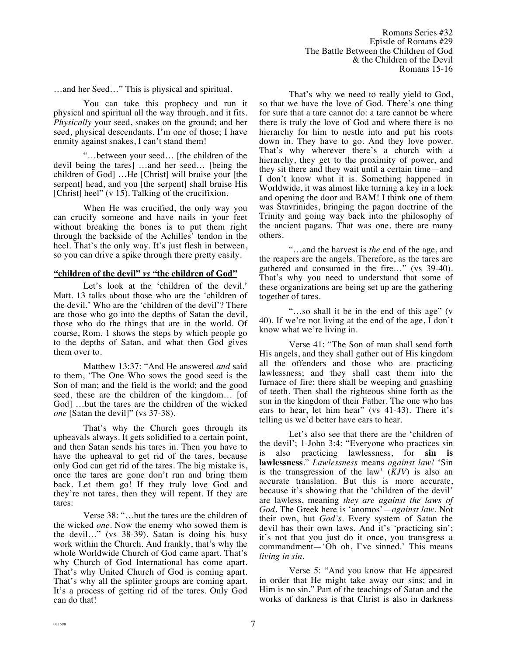…and her Seed…" This is physical and spiritual.

You can take this prophecy and run it physical and spiritual all the way through, and it fits. *Physically* your seed, snakes on the ground; and her seed, physical descendants. I'm one of those; I have enmity against snakes, I can't stand them!

"…between your seed… [the children of the devil being the tares] …and her seed… [being the children of God] …He [Christ] will bruise your [the serpent] head, and you [the serpent] shall bruise His [Christ] heel" (v 15). Talking of the crucifixion.

When He was crucified, the only way you can crucify someone and have nails in your feet without breaking the bones is to put them right through the backside of the Achilles' tendon in the heel. That's the only way. It's just flesh in between, so you can drive a spike through there pretty easily.

## **"children of the devil"** *vs* **"the children of God"**

Let's look at the 'children of the devil.' Matt. 13 talks about those who are the 'children of the devil.' Who are the 'children of the devil'? There are those who go into the depths of Satan the devil, those who do the things that are in the world. Of course, Rom. 1 shows the steps by which people go to the depths of Satan, and what then God gives them over to.

Matthew 13:37: "And He answered *and* said to them, 'The One Who sows the good seed is the Son of man; and the field is the world; and the good seed, these are the children of the kingdom… [of God] …but the tares are the children of the wicked *one* [Satan the devil]" (vs 37-38).

That's why the Church goes through its upheavals always. It gets solidified to a certain point, and then Satan sends his tares in. Then you have to have the upheaval to get rid of the tares, because only God can get rid of the tares. The big mistake is, once the tares are gone don't run and bring them back. Let them go! If they truly love God and they're not tares, then they will repent. If they are tares:

Verse 38: "…but the tares are the children of the wicked *one.* Now the enemy who sowed them is the devil…" (vs 38-39). Satan is doing his busy work within the Church. And frankly, that's why the whole Worldwide Church of God came apart. That's why Church of God International has come apart. That's why United Church of God is coming apart. That's why all the splinter groups are coming apart. It's a process of getting rid of the tares. Only God can do that!

That's why we need to really yield to God, so that we have the love of God. There's one thing for sure that a tare cannot do: a tare cannot be where there is truly the love of God and where there is no hierarchy for him to nestle into and put his roots down in. They have to go. And they love power. That's why wherever there's a church with a hierarchy, they get to the proximity of power, and they sit there and they wait until a certain time—and I don't know what it is. Something happened in Worldwide, it was almost like turning a key in a lock and opening the door and BAM! I think one of them was Stavrinides, bringing the pagan doctrine of the Trinity and going way back into the philosophy of the ancient pagans. That was one, there are many others.

"…and the harvest is *the* end of the age, and the reapers are the angels. Therefore, as the tares are gathered and consumed in the fire…" (vs 39-40). That's why you need to understand that some of these organizations are being set up are the gathering together of tares.

"…so shall it be in the end of this age" (v 40). If we're not living at the end of the age, I don't know what we're living in.

Verse 41: "The Son of man shall send forth His angels, and they shall gather out of His kingdom all the offenders and those who are practicing lawlessness; and they shall cast them into the furnace of fire; there shall be weeping and gnashing of teeth. Then shall the righteous shine forth as the sun in the kingdom of their Father. The one who has ears to hear, let him hear" (vs 41-43). There it's telling us we'd better have ears to hear.

Let's also see that there are the 'children of the devil'; 1-John 3:4: "Everyone who practices sin is also practicing lawlessness, for **sin is lawlessness**." *Lawlessness* means *against law!* 'Sin is the transgression of the law' (*KJV*) is also an accurate translation. But this is more accurate, because it's showing that the 'children of the devil' are lawless, meaning *they are against the laws of God.* The Greek here is 'anomos'—*against law*. Not their own, but *God's.* Every system of Satan the devil has their own laws. And it's 'practicing sin'; it's not that you just do it once, you transgress a commandment—'Oh oh, I've sinned.' This means *living in sin*.

Verse 5: "And you know that He appeared in order that He might take away our sins; and in Him is no sin." Part of the teachings of Satan and the works of darkness is that Christ is also in darkness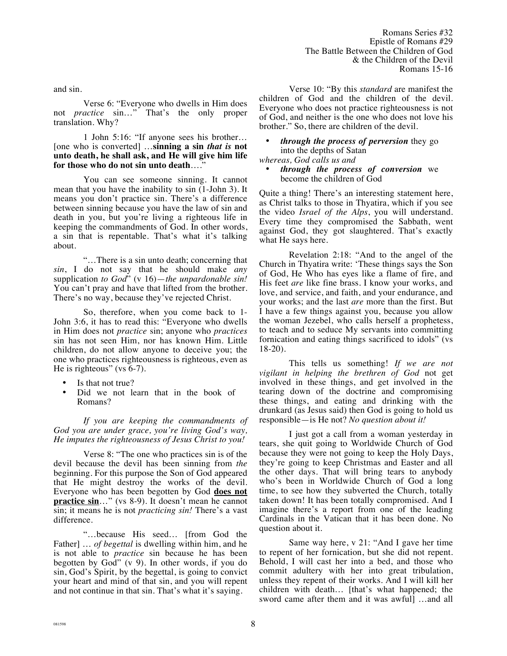and sin.

Verse 6: "Everyone who dwells in Him does not *practice* sin…" That's the only proper translation. Why?

1 John 5:16: "If anyone sees his brother… [one who is converted] …**sinning a sin** *that is* **not unto death, he shall ask, and He will give him life**  for those who do not sin unto death....'

You can see someone sinning. It cannot mean that you have the inability to sin (1-John 3). It means you don't practice sin. There's a difference between sinning because you have the law of sin and death in you, but you're living a righteous life in keeping the commandments of God. In other words, a sin that is repentable. That's what it's talking about.

"…There is a sin unto death; concerning that *sin*, I do not say that he should make *any* supplication *to God*" (v 16)—*the unpardonable sin!* You can't pray and have that lifted from the brother. There's no way, because they've rejected Christ.

So, therefore, when you come back to 1- John 3:6, it has to read this: "Everyone who dwells in Him does not *practice* sin; anyone who *practices* sin has not seen Him, nor has known Him. Little children, do not allow anyone to deceive you; the one who practices righteousness is righteous, even as He is righteous" (vs  $6-7$ ).

- Is that not true?
- Did we not learn that in the book of Romans?

*If you are keeping the commandments of God you are under grace, you're living God's way, He imputes the righteousness of Jesus Christ to you!*

Verse 8: "The one who practices sin is of the devil because the devil has been sinning from *the* beginning. For this purpose the Son of God appeared that He might destroy the works of the devil. Everyone who has been begotten by God **does not practice sin**..." (vs 8-9). It doesn't mean he cannot sin; it means he is not *practicing sin!* There's a vast difference.

"…because His seed… [from God the Father] … *of begettal* is dwelling within him, and he is not able to *practice* sin because he has been begotten by God" (v 9). In other words, if you do sin, God's Spirit, by the begettal, is going to convict your heart and mind of that sin, and you will repent and not continue in that sin. That's what it's saying.

Verse 10: "By this *standard* are manifest the children of God and the children of the devil. Everyone who does not practice righteousness is not of God, and neither is the one who does not love his brother." So, there are children of the devil.

# • *through the process of perversion* they go into the depths of Satan

- *whereas, God calls us and* 
	- *through the process of conversion* we become the children of God

Quite a thing! There's an interesting statement here, as Christ talks to those in Thyatira, which if you see the video *Israel of the Alps*, you will understand. Every time they compromised the Sabbath, went against God, they got slaughtered. That's exactly what He says here.

Revelation 2:18: "And to the angel of the Church in Thyatira write: 'These things says the Son of God, He Who has eyes like a flame of fire, and His feet *are* like fine brass. I know your works, and love, and service, and faith, and your endurance, and your works; and the last *are* more than the first. But I have a few things against you, because you allow the woman Jezebel, who calls herself a prophetess, to teach and to seduce My servants into committing fornication and eating things sacrificed to idols" (vs 18-20).

This tells us something! *If we are not vigilant in helping the brethren of God* not get involved in these things, and get involved in the tearing down of the doctrine and compromising these things, and eating and drinking with the drunkard (as Jesus said) then God is going to hold us responsible—is He not? *No question about it!*

I just got a call from a woman yesterday in tears, she quit going to Worldwide Church of God because they were not going to keep the Holy Days, they're going to keep Christmas and Easter and all the other days. That will bring tears to anybody who's been in Worldwide Church of God a long time, to see how they subverted the Church, totally taken down! It has been totally compromised. And I imagine there's a report from one of the leading Cardinals in the Vatican that it has been done. No question about it.

Same way here, v 21: "And I gave her time to repent of her fornication, but she did not repent. Behold, I will cast her into a bed, and those who commit adultery with her into great tribulation, unless they repent of their works. And I will kill her children with death… [that's what happened; the sword came after them and it was awful] …and all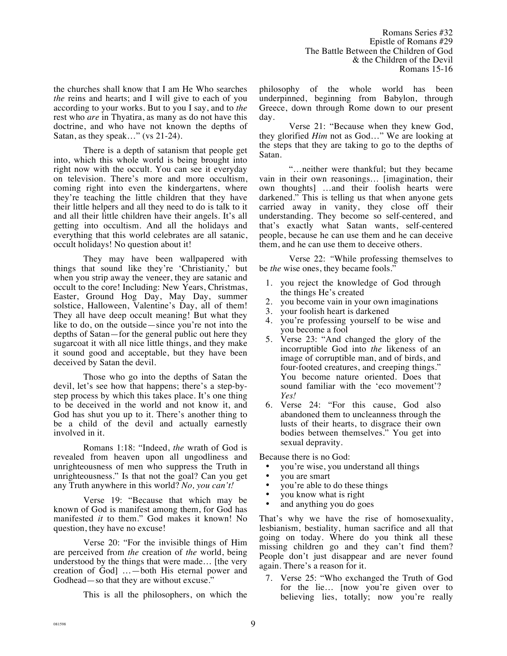the churches shall know that I am He Who searches *the* reins and hearts; and I will give to each of you according to your works. But to you I say, and to *the*  rest who *are* in Thyatira, as many as do not have this doctrine, and who have not known the depths of Satan, as they speak…" (vs 21-24).

There is a depth of satanism that people get into, which this whole world is being brought into right now with the occult. You can see it everyday on television. There's more and more occultism, coming right into even the kindergartens, where they're teaching the little children that they have their little helpers and all they need to do is talk to it and all their little children have their angels. It's all getting into occultism. And all the holidays and everything that this world celebrates are all satanic, occult holidays! No question about it!

They may have been wallpapered with things that sound like they're 'Christianity,' but when you strip away the veneer, they are satanic and occult to the core! Including: New Years, Christmas, Easter, Ground Hog Day, May Day, summer solstice, Halloween, Valentine's Day, all of them! They all have deep occult meaning! But what they like to do, on the outside—since you're not into the depths of Satan—for the general public out here they sugarcoat it with all nice little things, and they make it sound good and acceptable, but they have been deceived by Satan the devil.

Those who go into the depths of Satan the devil, let's see how that happens; there's a step-bystep process by which this takes place. It's one thing to be deceived in the world and not know it, and God has shut you up to it. There's another thing to be a child of the devil and actually earnestly involved in it.

Romans 1:18: "Indeed, *the* wrath of God is revealed from heaven upon all ungodliness and unrighteousness of men who suppress the Truth in unrighteousness." Is that not the goal? Can you get any Truth anywhere in this world? *No, you can't!*

Verse 19: "Because that which may be known of God is manifest among them, for God has manifested *it* to them." God makes it known! No question, they have no excuse!

Verse 20: "For the invisible things of Him are perceived from *the* creation of *the* world, being understood by the things that were made… [the very creation of God] …—both His eternal power and Godhead—so that they are without excuse."

This is all the philosophers, on which the

philosophy of the whole world has been underpinned, beginning from Babylon, through Greece, down through Rome down to our present day.

Verse 21: "Because when they knew God, they glorified *Him* not as God…" We are looking at the steps that they are taking to go to the depths of Satan.

"…neither were thankful; but they became vain in their own reasonings… [imagination, their own thoughts] …and their foolish hearts were darkened." This is telling us that when anyone gets carried away in vanity, they close off their understanding. They become so self-centered, and that's exactly what Satan wants, self-centered people, because he can use them and he can deceive them, and he can use them to deceive others.

Verse 22: *"*While professing themselves to be *the* wise ones, they became fools."

- 1. you reject the knowledge of God through the things He's created
- 2. you become vain in your own imaginations
- 3. your foolish heart is darkened
- 4. you're professing yourself to be wise and you become a fool
- 5. Verse 23: "And changed the glory of the incorruptible God into *the* likeness of an image of corruptible man, and of birds, and four-footed creatures, and creeping things." You become nature oriented. Does that sound familiar with the 'eco movement'? *Yes!*
- 6. Verse 24: "For this cause, God also abandoned them to uncleanness through the lusts of their hearts, to disgrace their own bodies between themselves." You get into sexual depravity.

Because there is no God:

- you're wise, you understand all things<br>• you are smart
- you are smart
- you're able to do these things
- you know what is right<br>• and anything you do go
- and anything you do goes

That's why we have the rise of homosexuality, lesbianism, bestiality, human sacrifice and all that going on today. Where do you think all these missing children go and they can't find them? People don't just disappear and are never found again. There's a reason for it.

7. Verse 25: "Who exchanged the Truth of God for the lie… [now you're given over to believing lies, totally; now you're really